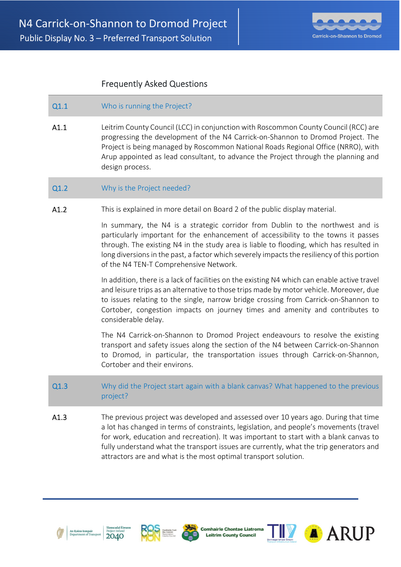

# Frequently Asked Questions

## Q1.1 Who is running the Project?

A1.1 Leitrim County Council (LCC) in conjunction with Roscommon County Council (RCC) are progressing the development of the N4 Carrick-on-Shannon to Dromod Project. The Project is being managed by Roscommon National Roads Regional Office (NRRO), with Arup appointed as lead consultant, to advance the Project through the planning and design process.

### Q1.2 Why is the Project needed?

A1.2 This is explained in more detail on Board 2 of the public display material.

In summary, the N4 is a strategic corridor from Dublin to the northwest and is particularly important for the enhancement of accessibility to the towns it passes through. The existing N4 in the study area is liable to flooding, which has resulted in long diversions in the past, a factor which severely impacts the resiliency of this portion of the N4 TEN-T Comprehensive Network.

In addition, there is a lack of facilities on the existing N4 which can enable active travel and leisure trips as an alternative to those trips made by motor vehicle. Moreover, due to issues relating to the single, narrow bridge crossing from Carrick-on-Shannon to Cortober, congestion impacts on journey times and amenity and contributes to considerable delay.

The N4 Carrick-on-Shannon to Dromod Project endeavours to resolve the existing transport and safety issues along the section of the N4 between Carrick-on-Shannon to Dromod, in particular, the transportation issues through Carrick-on-Shannon, Cortober and their environs.

- Q1.3 Why did the Project start again with a blank canvas? What happened to the previous project?
- A1.3 The previous project was developed and assessed over 10 years ago. During that time a lot has changed in terms of constraints, legislation, and people's movements (travel for work, education and recreation). It was important to start with a blank canvas to fully understand what the transport issues are currently, what the trip generators and attractors are and what is the most optimal transport solution.









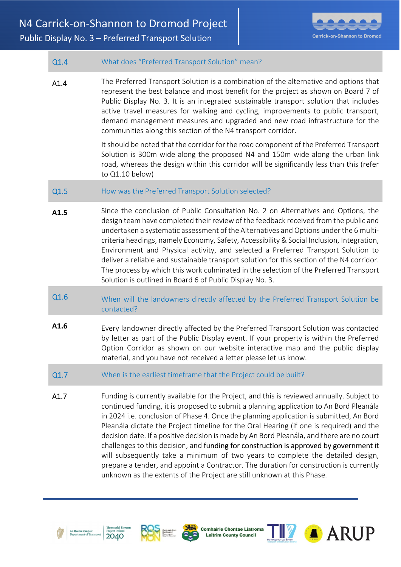

| Q1.4 | What does "Preferred Transport Solution" mean?                                                                                                                                                                                                                                                                                                                                                                                                                                                                                                                                                                                                                                                                                                                                                                         |
|------|------------------------------------------------------------------------------------------------------------------------------------------------------------------------------------------------------------------------------------------------------------------------------------------------------------------------------------------------------------------------------------------------------------------------------------------------------------------------------------------------------------------------------------------------------------------------------------------------------------------------------------------------------------------------------------------------------------------------------------------------------------------------------------------------------------------------|
| A1.4 | The Preferred Transport Solution is a combination of the alternative and options that<br>represent the best balance and most benefit for the project as shown on Board 7 of<br>Public Display No. 3. It is an integrated sustainable transport solution that includes<br>active travel measures for walking and cycling, improvements to public transport,<br>demand management measures and upgraded and new road infrastructure for the<br>communities along this section of the N4 transport corridor.                                                                                                                                                                                                                                                                                                              |
|      | It should be noted that the corridor for the road component of the Preferred Transport<br>Solution is 300m wide along the proposed N4 and 150m wide along the urban link<br>road, whereas the design within this corridor will be significantly less than this (refer<br>to $Q1.10$ below)                                                                                                                                                                                                                                                                                                                                                                                                                                                                                                                             |
| Q1.5 | How was the Preferred Transport Solution selected?                                                                                                                                                                                                                                                                                                                                                                                                                                                                                                                                                                                                                                                                                                                                                                     |
| A1.5 | Since the conclusion of Public Consultation No. 2 on Alternatives and Options, the<br>design team have completed their review of the feedback received from the public and<br>undertaken a systematic assessment of the Alternatives and Options under the 6 multi-<br>criteria headings, namely Economy, Safety, Accessibility & Social Inclusion, Integration,<br>Environment and Physical activity, and selected a Preferred Transport Solution to<br>deliver a reliable and sustainable transport solution for this section of the N4 corridor.<br>The process by which this work culminated in the selection of the Preferred Transport<br>Solution is outlined in Board 6 of Public Display No. 3.                                                                                                               |
| Q1.6 | When will the landowners directly affected by the Preferred Transport Solution be<br>contacted?                                                                                                                                                                                                                                                                                                                                                                                                                                                                                                                                                                                                                                                                                                                        |
| A1.6 | Every landowner directly affected by the Preferred Transport Solution was contacted<br>by letter as part of the Public Display event. If your property is within the Preferred<br>Option Corridor as shown on our website interactive map and the public display<br>material, and you have not received a letter please let us know.                                                                                                                                                                                                                                                                                                                                                                                                                                                                                   |
| Q1.7 | When is the earliest timeframe that the Project could be built?                                                                                                                                                                                                                                                                                                                                                                                                                                                                                                                                                                                                                                                                                                                                                        |
| A1.7 | Funding is currently available for the Project, and this is reviewed annually. Subject to<br>continued funding, it is proposed to submit a planning application to An Bord Pleanála<br>in 2024 i.e. conclusion of Phase 4. Once the planning application is submitted, An Bord<br>Pleanála dictate the Project timeline for the Oral Hearing (if one is required) and the<br>decision date. If a positive decision is made by An Bord Pleanála, and there are no court<br>challenges to this decision, and funding for construction is approved by government it<br>will subsequently take a minimum of two years to complete the detailed design,<br>prepare a tender, and appoint a Contractor. The duration for construction is currently<br>unknown as the extents of the Project are still unknown at this Phase. |





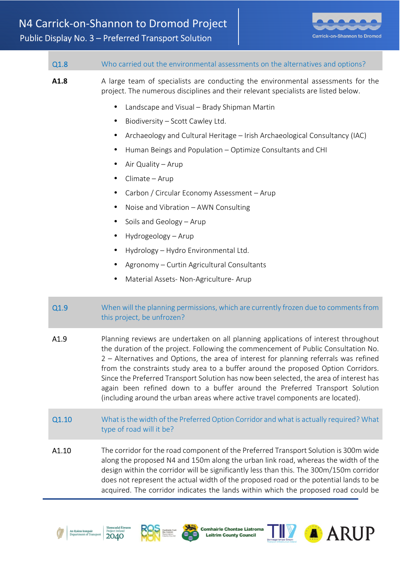

| Q1.8  | Who carried out the environmental assessments on the alternatives and options?                                                                                                                                                                                                                                                                                                                                                                                                                                                                                                                                                                                                                                                                                 |
|-------|----------------------------------------------------------------------------------------------------------------------------------------------------------------------------------------------------------------------------------------------------------------------------------------------------------------------------------------------------------------------------------------------------------------------------------------------------------------------------------------------------------------------------------------------------------------------------------------------------------------------------------------------------------------------------------------------------------------------------------------------------------------|
| A1.8  | A large team of specialists are conducting the environmental assessments for the<br>project. The numerous disciplines and their relevant specialists are listed below.<br>Landscape and Visual - Brady Shipman Martin<br>$\bullet$<br>Biodiversity - Scott Cawley Ltd.<br>Archaeology and Cultural Heritage - Irish Archaeological Consultancy (IAC)<br>Human Beings and Population - Optimize Consultants and CHI<br>Air Quality - Arup<br>Climate - Arup<br>Carbon / Circular Economy Assessment - Arup<br>Noise and Vibration - AWN Consulting<br>Soils and Geology - Arup<br>$\bullet$<br>Hydrogeology - Arup<br>$\bullet$<br>Hydrology - Hydro Environmental Ltd.<br>Agronomy - Curtin Agricultural Consultants<br>Material Assets- Non-Agriculture- Arup |
| Q1.9  | When will the planning permissions, which are currently frozen due to comments from<br>this project, be unfrozen?                                                                                                                                                                                                                                                                                                                                                                                                                                                                                                                                                                                                                                              |
| A1.9  | Planning reviews are undertaken on all planning applications of interest throughout<br>the duration of the project. Following the commencement of Public Consultation No.<br>2 - Alternatives and Options, the area of interest for planning referrals was refined<br>from the constraints study area to a buffer around the proposed Option Corridors.<br>Since the Preferred Transport Solution has now been selected, the area of interest has<br>again been refined down to a buffer around the Preferred Transport Solution<br>(including around the urban areas where active travel components are located).                                                                                                                                             |
| Q1.10 | What is the width of the Preferred Option Corridor and what is actually required? What<br>type of road will it be?                                                                                                                                                                                                                                                                                                                                                                                                                                                                                                                                                                                                                                             |
| A1.10 | The corridor for the road component of the Preferred Transport Solution is 300m wide<br>along the proposed N4 and 150m along the urban link road, whereas the width of the<br>design within the corridor will be significantly less than this. The 300m/150m corridor<br>does not represent the actual width of the proposed road or the potential lands to be<br>acquired. The corridor indicates the lands within which the proposed road could be                                                                                                                                                                                                                                                                                                           |





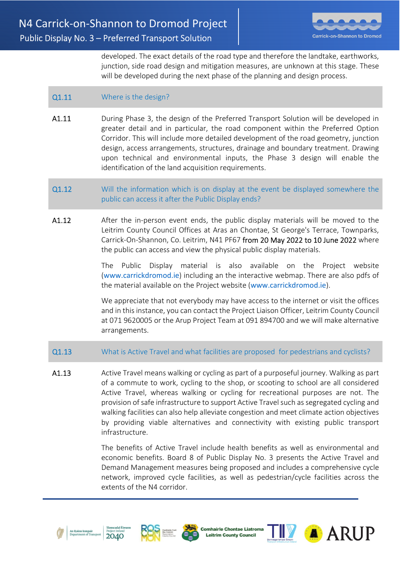

developed. The exact details of the road type and therefore the landtake, earthworks, junction, side road design and mitigation measures, are unknown at this stage. These will be developed during the next phase of the planning and design process.

# Q1.11 Where is the design?

- A1.11 During Phase 3, the design of the Preferred Transport Solution will be developed in greater detail and in particular, the road component within the Preferred Option Corridor. This will include more detailed development of the road geometry, junction design, access arrangements, structures, drainage and boundary treatment. Drawing upon technical and environmental inputs, the Phase 3 design will enable the identification of the land acquisition requirements.
- Q1.12 Will the information which is on display at the event be displayed somewhere the public can access it after the Public Display ends?
- A1.12 After the in-person event ends, the public display materials will be moved to the Leitrim County Council Offices at Aras an Chontae, St George's Terrace, Townparks, Carrick-On-Shannon, Co. Leitrim, N41 PF67 from 20 May 2022 to 10 June 2022 where the public can access and view the physical public display materials.

The Public Display material is also available on the Project website (www.carrickdromod.ie) including an the interactive webmap. There are also pdfs of the material available on the Project website (www.carrickdromod.ie).

We appreciate that not everybody may have access to the internet or visit the offices and in this instance, you can contact the Project Liaison Officer, Leitrim County Council at 071 9620005 or the Arup Project Team at 091 894700 and we will make alternative arrangements.

### Q1.13 What is Active Travel and what facilities are proposed for pedestrians and cyclists?

A1.13 Active Travel means walking or cycling as part of a purposeful journey. Walking as part of a commute to work, cycling to the shop, or scooting to school are all considered Active Travel, whereas walking or cycling for recreational purposes are not. The provision of safe infrastructure to support Active Travel such as segregated cycling and walking facilities can also help alleviate congestion and meet climate action objectives by providing viable alternatives and connectivity with existing public transport infrastructure.

> The benefits of Active Travel include health benefits as well as environmental and economic benefits. Board 8 of Public Display No. 3 presents the Active Travel and Demand Management measures being proposed and includes a comprehensive cycle network, improved cycle facilities, as well as pedestrian/cycle facilities across the extents of the N4 corridor.









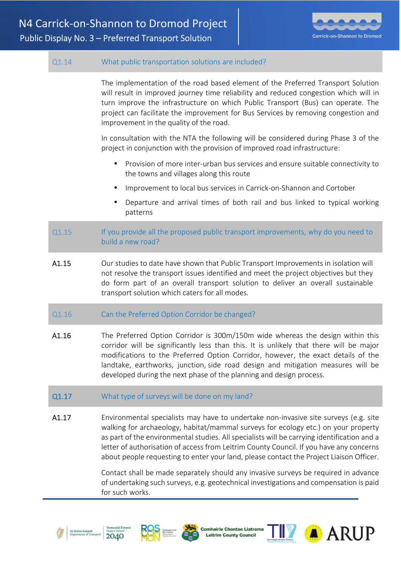

# Q1.14 What public transportation solutions are included?

 The implementation of the road based element of the Preferred Transport Solution will result in improved journey time reliability and reduced congestion which will in turn improve the infrastructure on which Public Transport (Bus) can operate. The project can facilitate the improvement for Bus Services by removing congestion and improvement in the quality of the road.

In consultation with the NTA the following will be considered during Phase 3 of the project in conjunction with the provision of improved road infrastructure:

- Provision of more inter-urban bus services and ensure suitable connectivity to the towns and villages along this route
- Improvement to local bus services in Carrick-on-Shannon and Cortober
- Departure and arrival times of both rail and bus linked to typical working patterns
- Q1.15 If you provide all the proposed public transport improvements, why do you need to build a new road?
- A1.15 Our studies to date have shown that Public Transport Improvements in isolation will not resolve the transport issues identified and meet the project objectives but they do form part of an overall transport solution to deliver an overall sustainable transport solution which caters for all modes.
- Q1.16 Can the Preferred Option Corridor be changed?
- A1.16 The Preferred Option Corridor is 300m/150m wide whereas the design within this corridor will be significantly less than this. It is unlikely that there will be major modifications to the Preferred Option Corridor, however, the exact details of the landtake, earthworks, junction, side road design and mitigation measures will be developed during the next phase of the planning and design process.
- Q1.17 What type of surveys will be done on my land?
- A1.17 **Environmental specialists may have to undertake non-invasive site surveys (e.g. site** walking for archaeology, habitat/mammal surveys for ecology etc.) on your property as part of the environmental studies. All specialists will be carrying identification and a letter of authorisation of access from Leitrim County Council. If you have any concerns about people requesting to enter your land, please contact the Project Liaison Officer.

Contact shall be made separately should any invasive surveys be required in advance of undertaking such surveys, e.g. geotechnical investigations and compensation is paid for such works.